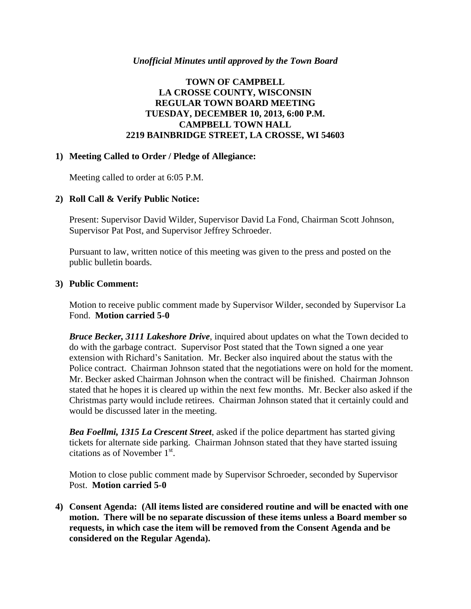#### *Unofficial Minutes until approved by the Town Board*

# **TOWN OF CAMPBELL LA CROSSE COUNTY, WISCONSIN REGULAR TOWN BOARD MEETING TUESDAY, DECEMBER 10, 2013, 6:00 P.M. CAMPBELL TOWN HALL 2219 BAINBRIDGE STREET, LA CROSSE, WI 54603**

## **1) Meeting Called to Order / Pledge of Allegiance:**

Meeting called to order at 6:05 P.M.

# **2) Roll Call & Verify Public Notice:**

Present: Supervisor David Wilder, Supervisor David La Fond, Chairman Scott Johnson, Supervisor Pat Post, and Supervisor Jeffrey Schroeder.

Pursuant to law, written notice of this meeting was given to the press and posted on the public bulletin boards.

#### **3) Public Comment:**

Motion to receive public comment made by Supervisor Wilder, seconded by Supervisor La Fond. **Motion carried 5-0**

*Bruce Becker, 3111 Lakeshore Drive*, inquired about updates on what the Town decided to do with the garbage contract. Supervisor Post stated that the Town signed a one year extension with Richard's Sanitation. Mr. Becker also inquired about the status with the Police contract. Chairman Johnson stated that the negotiations were on hold for the moment. Mr. Becker asked Chairman Johnson when the contract will be finished. Chairman Johnson stated that he hopes it is cleared up within the next few months. Mr. Becker also asked if the Christmas party would include retirees. Chairman Johnson stated that it certainly could and would be discussed later in the meeting.

*Bea Foellmi, 1315 La Crescent Street*, asked if the police department has started giving tickets for alternate side parking. Chairman Johnson stated that they have started issuing citations as of November  $1<sup>st</sup>$ .

Motion to close public comment made by Supervisor Schroeder, seconded by Supervisor Post. **Motion carried 5-0**

**4) Consent Agenda: (All items listed are considered routine and will be enacted with one motion. There will be no separate discussion of these items unless a Board member so requests, in which case the item will be removed from the Consent Agenda and be considered on the Regular Agenda).**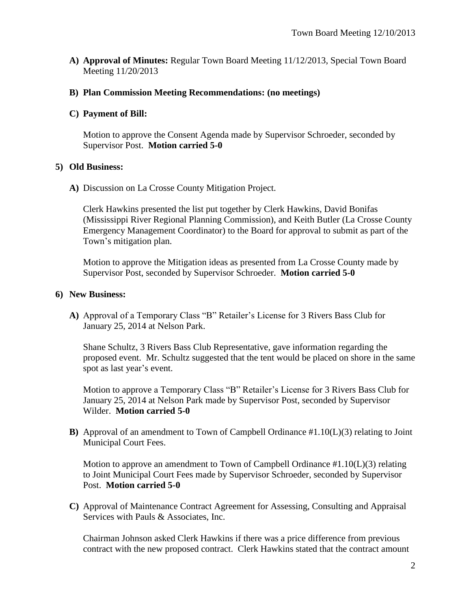**A) Approval of Minutes:** Regular Town Board Meeting 11/12/2013, Special Town Board Meeting 11/20/2013

## **B) Plan Commission Meeting Recommendations: (no meetings)**

## **C) Payment of Bill:**

Motion to approve the Consent Agenda made by Supervisor Schroeder, seconded by Supervisor Post. **Motion carried 5-0**

## **5) Old Business:**

**A)** Discussion on La Crosse County Mitigation Project.

Clerk Hawkins presented the list put together by Clerk Hawkins, David Bonifas (Mississippi River Regional Planning Commission), and Keith Butler (La Crosse County Emergency Management Coordinator) to the Board for approval to submit as part of the Town's mitigation plan.

Motion to approve the Mitigation ideas as presented from La Crosse County made by Supervisor Post, seconded by Supervisor Schroeder. **Motion carried 5-0**

## **6) New Business:**

**A)** Approval of a Temporary Class "B" Retailer's License for 3 Rivers Bass Club for January 25, 2014 at Nelson Park.

Shane Schultz, 3 Rivers Bass Club Representative, gave information regarding the proposed event. Mr. Schultz suggested that the tent would be placed on shore in the same spot as last year's event.

Motion to approve a Temporary Class "B" Retailer's License for 3 Rivers Bass Club for January 25, 2014 at Nelson Park made by Supervisor Post, seconded by Supervisor Wilder. **Motion carried 5-0**

**B)** Approval of an amendment to Town of Campbell Ordinance #1.10(L)(3) relating to Joint Municipal Court Fees.

Motion to approve an amendment to Town of Campbell Ordinance  $#1.10(L)(3)$  relating to Joint Municipal Court Fees made by Supervisor Schroeder, seconded by Supervisor Post. **Motion carried 5-0**

**C)** Approval of Maintenance Contract Agreement for Assessing, Consulting and Appraisal Services with Pauls & Associates, Inc.

Chairman Johnson asked Clerk Hawkins if there was a price difference from previous contract with the new proposed contract. Clerk Hawkins stated that the contract amount